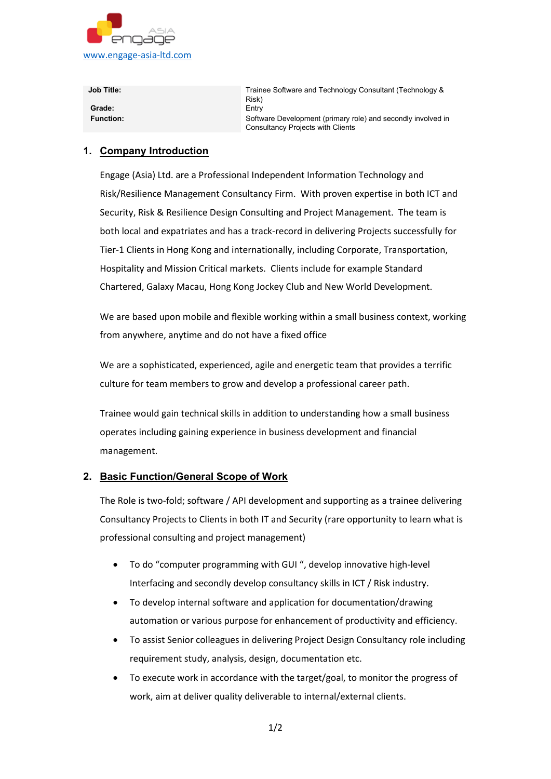

**Job Title:** Trainee Software and Technology Consultant (Technology & Risk) **Grade:** Entry **Function:** Software Development (primary role) and secondly involved in Consultancy Projects with Clients

## **1. Company Introduction**

Engage (Asia) Ltd. are a Professional Independent Information Technology and Risk/Resilience Management Consultancy Firm. With proven expertise in both ICT and Security, Risk & Resilience Design Consulting and Project Management. The team is both local and expatriates and has a track-record in delivering Projects successfully for Tier-1 Clients in Hong Kong and internationally, including Corporate, Transportation, Hospitality and Mission Critical markets. Clients include for example Standard Chartered, Galaxy Macau, Hong Kong Jockey Club and New World Development.

We are based upon mobile and flexible working within a small business context, working from anywhere, anytime and do not have a fixed office

We are a sophisticated, experienced, agile and energetic team that provides a terrific culture for team members to grow and develop a professional career path.

Trainee would gain technical skills in addition to understanding how a small business operates including gaining experience in business development and financial management.

## **2. Basic Function/General Scope of Work**

The Role is two-fold; software / API development and supporting as a trainee delivering Consultancy Projects to Clients in both IT and Security (rare opportunity to learn what is professional consulting and project management)

- To do "computer programming with GUI ", develop innovative high-level Interfacing and secondly develop consultancy skills in ICT / Risk industry.
- To develop internal software and application for documentation/drawing automation or various purpose for enhancement of productivity and efficiency.
- To assist Senior colleagues in delivering Project Design Consultancy role including requirement study, analysis, design, documentation etc.
- To execute work in accordance with the target/goal, to monitor the progress of work, aim at deliver quality deliverable to internal/external clients.